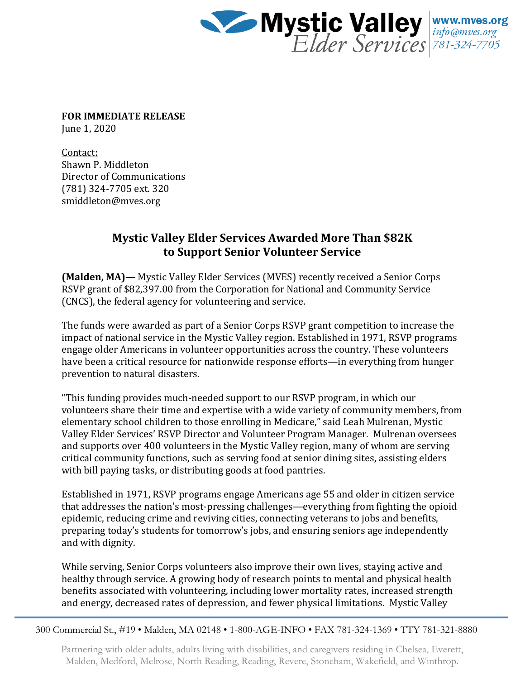

**FOR IMMEDIATE RELEASE** June 1, 2020

Contact: Shawn P. Middleton Director of Communications (781) 324-7705 ext. 320 smiddleton@mves.org

## **Mystic Valley Elder Services Awarded More Than \$82K to Support Senior Volunteer Service**

**(Malden, MA)—** Mystic Valley Elder Services (MVES) recently received a Senior Corps RSVP grant of \$82,397.00 from the Corporation for National and Community Service (CNCS), the federal agency for volunteering and service.

The funds were awarded as part of a Senior Corps RSVP grant competition to increase the impact of national service in the Mystic Valley region. Established in 1971, RSVP programs engage older Americans in volunteer opportunities across the country. These volunteers have been a critical resource for nationwide response efforts—in everything from hunger prevention to natural disasters.

"This funding provides much-needed support to our RSVP program, in which our volunteers share their time and expertise with a wide variety of community members, from elementary school children to those enrolling in Medicare," said Leah Mulrenan, Mystic Valley Elder Services' RSVP Director and Volunteer Program Manager. Mulrenan oversees and supports over 400 volunteers in the Mystic Valley region, many of whom are serving critical community functions, such as serving food at senior dining sites, assisting elders with bill paying tasks, or distributing goods at food pantries.

Established in 1971, RSVP programs engage Americans age 55 and older in citizen service that addresses the nation's most-pressing challenges—everything from fighting the opioid epidemic, reducing crime and reviving cities, connecting veterans to jobs and benefits, preparing today's students for tomorrow's jobs, and ensuring seniors age independently and with dignity.

While serving, Senior Corps volunteers also improve their own lives, staying active and healthy through service. A growing body of research points to mental and physical health benefits associated with volunteering, including lower mortality rates, increased strength and energy, decreased rates of depression, and fewer physical limitations. Mystic Valley

300 Commercial St., #19 • Malden, MA 02148 • 1-800-AGE-INFO • FAX 781-324-1369 • TTY 781-321-8880

Partnering with older adults, adults living with disabilities, and caregivers residing in Chelsea, Everett, Malden, Medford, Melrose, North Reading, Reading, Revere, Stoneham, Wakefield, and Winthrop.